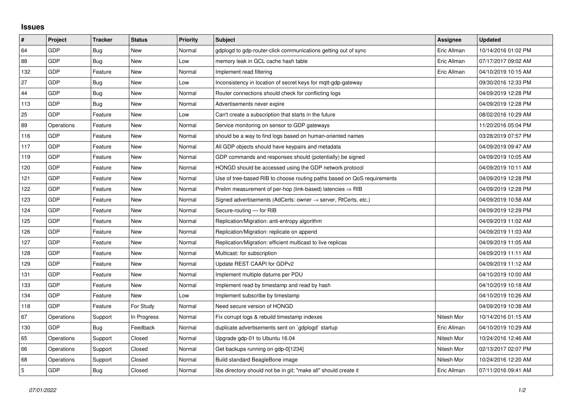## **Issues**

| #   | Project    | <b>Tracker</b> | <b>Status</b> | <b>Priority</b> | <b>Subject</b>                                                             | <b>Assignee</b> | <b>Updated</b>      |
|-----|------------|----------------|---------------|-----------------|----------------------------------------------------------------------------|-----------------|---------------------|
| 64  | GDP        | Bug            | <b>New</b>    | Normal          | gdplogd to gdp-router-click communications getting out of sync             | Eric Allman     | 10/14/2016 01:02 PM |
| 88  | GDP        | Bug            | New           | Low             | memory leak in GCL cache hash table                                        | Eric Allman     | 07/17/2017 09:02 AM |
| 132 | GDP        | Feature        | New           | Normal          | Implement read filtering                                                   | Eric Allman     | 04/10/2019 10:15 AM |
| 27  | GDP        | <b>Bug</b>     | <b>New</b>    | Low             | Inconsistency in location of secret keys for mqtt-gdp-gateway              |                 | 09/30/2016 12:33 PM |
| 44  | GDP        | <b>Bug</b>     | New           | Normal          | Router connections should check for conflicting logs                       |                 | 04/09/2019 12:28 PM |
| 113 | GDP        | <b>Bug</b>     | New           | Normal          | Advertisements never expire                                                |                 | 04/09/2019 12:28 PM |
| 25  | GDP        | Feature        | <b>New</b>    | Low             | Can't create a subscription that starts in the future                      |                 | 08/02/2016 10:29 AM |
| 89  | Operations | Feature        | New           | Normal          | Service monitoring on sensor to GDP gateways                               |                 | 11/20/2016 05:04 PM |
| 116 | GDP        | Feature        | <b>New</b>    | Normal          | should be a way to find logs based on human-oriented names                 |                 | 03/28/2019 07:57 PM |
| 117 | GDP        | Feature        | New           | Normal          | All GDP objects should have keypairs and metadata                          |                 | 04/09/2019 09:47 AM |
| 119 | GDP        | Feature        | New           | Normal          | GDP commands and responses should (potentially) be signed                  |                 | 04/09/2019 10:05 AM |
| 120 | GDP        | Feature        | New           | Normal          | HONGD should be accessed using the GDP network protocol                    |                 | 04/09/2019 10:11 AM |
| 121 | GDP        | Feature        | New           | Normal          | Use of tree-based RIB to choose routing paths based on QoS requirements    |                 | 04/09/2019 12:28 PM |
| 122 | GDP        | Feature        | New           | Normal          | Prelim measurement of per-hop (link-based) latencies $\Rightarrow$ RIB     |                 | 04/09/2019 12:28 PM |
| 123 | GDP        | Feature        | <b>New</b>    | Normal          | Signed advertisements (AdCerts: owner $\rightarrow$ server, RtCerts, etc.) |                 | 04/09/2019 10:58 AM |
| 124 | GDP        | Feature        | New           | Normal          | Secure-routing - for RIB                                                   |                 | 04/09/2019 12:29 PM |
| 125 | GDP        | Feature        | New           | Normal          | Replication/Migration: anti-entropy algorithm                              |                 | 04/09/2019 11:02 AM |
| 126 | GDP        | Feature        | New           | Normal          | Replication/Migration: replicate on append                                 |                 | 04/09/2019 11:03 AM |
| 127 | GDP        | Feature        | New           | Normal          | Replication/Migration: efficient multicast to live replicas                |                 | 04/09/2019 11:05 AM |
| 128 | GDP        | Feature        | New           | Normal          | Multicast: for subscription                                                |                 | 04/09/2019 11:11 AM |
| 129 | GDP        | Feature        | New           | Normal          | Update REST CAAPI for GDPv2                                                |                 | 04/09/2019 11:12 AM |
| 131 | GDP        | Feature        | New           | Normal          | Implement multiple datums per PDU                                          |                 | 04/10/2019 10:00 AM |
| 133 | GDP        | Feature        | <b>New</b>    | Normal          | Implement read by timestamp and read by hash                               |                 | 04/10/2019 10:18 AM |
| 134 | GDP        | Feature        | New           | Low             | Implement subscribe by timestamp                                           |                 | 04/10/2019 10:26 AM |
| 118 | GDP        | Feature        | For Study     | Normal          | Need secure version of HONGD                                               |                 | 04/09/2019 10:38 AM |
| 67  | Operations | Support        | In Progress   | Normal          | Fix corrupt logs & rebuild timestamp indexes                               | Nitesh Mor      | 10/14/2016 01:15 AM |
| 130 | GDP        | Bug            | Feedback      | Normal          | duplicate advertisements sent on `gdplogd` startup                         | Eric Allman     | 04/10/2019 10:29 AM |
| 65  | Operations | Support        | Closed        | Normal          | Upgrade gdp-01 to Ubuntu 16.04                                             | Nitesh Mor      | 10/24/2016 12:46 AM |
| 66  | Operations | Support        | Closed        | Normal          | Get backups running on gdp-0[1234]                                         | Nitesh Mor      | 02/13/2017 02:07 PM |
| 68  | Operations | Support        | Closed        | Normal          | Build standard BeagleBone image                                            | Nitesh Mor      | 10/24/2016 12:20 AM |
| 5   | GDP        | Bug            | Closed        | Normal          | libs directory should not be in git; "make all" should create it           | Eric Allman     | 07/11/2016 09:41 AM |